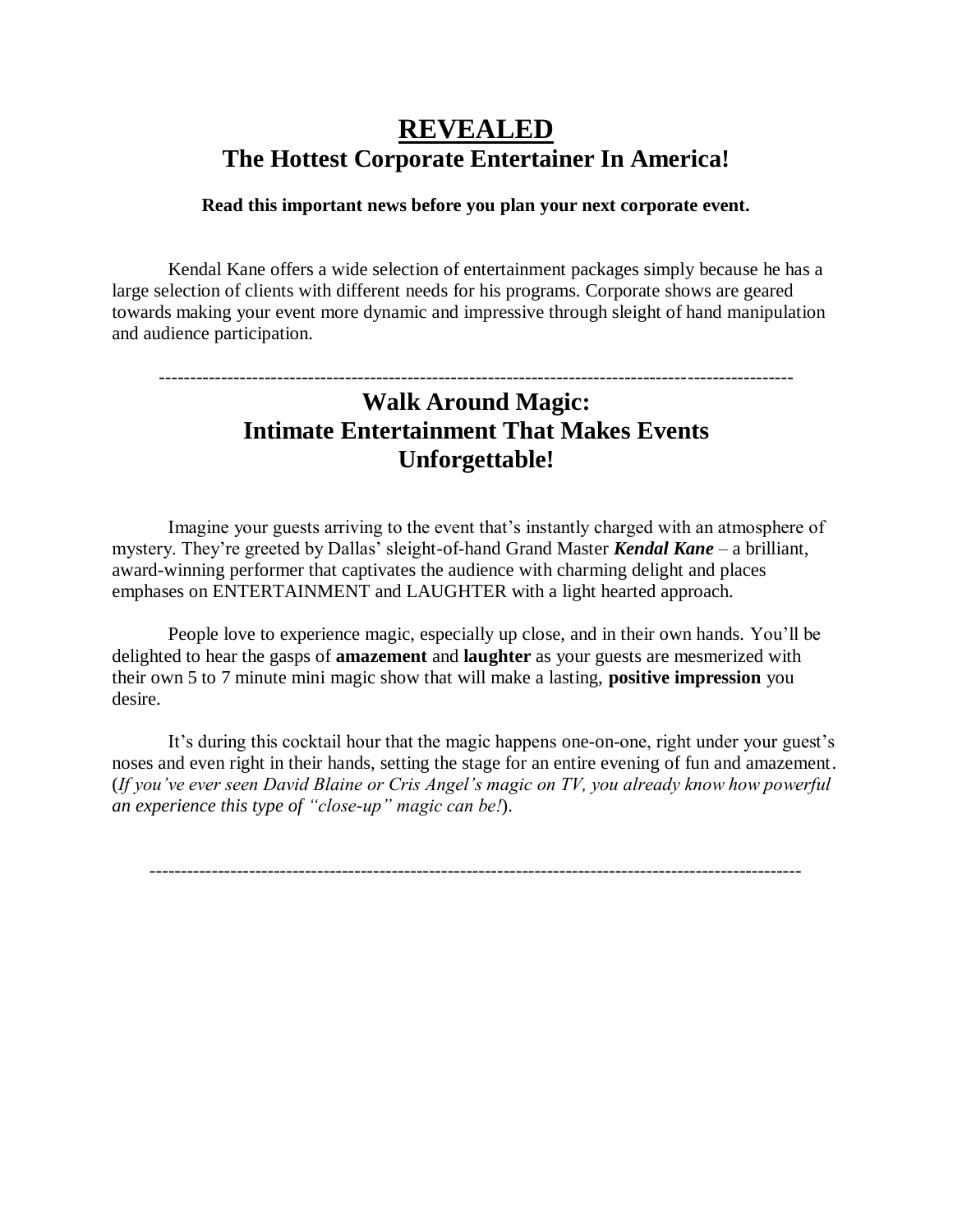# **REVEALED The Hottest Corporate Entertainer In America!**

#### **Read this important news before you plan your next corporate event.**

Kendal Kane offers a wide selection of entertainment packages simply because he has a large selection of clients with different needs for his programs. Corporate shows are geared towards making your event more dynamic and impressive through sleight of hand manipulation and audience participation.

## ------------------------------------------------------------------------------------------------------ **Walk Around Magic: Intimate Entertainment That Makes Events Unforgettable!**

Imagine your guests arriving to the event that's instantly charged with an atmosphere of mystery. They're greeted by Dallas' sleight-of-hand Grand Master *Kendal Kane* – a brilliant, award-winning performer that captivates the audience with charming delight and places emphases on ENTERTAINMENT and LAUGHTER with a light hearted approach.

People love to experience magic, especially up close, and in their own hands. You'll be delighted to hear the gasps of **amazement** and **laughter** as your guests are mesmerized with their own 5 to 7 minute mini magic show that will make a lasting, **positive impression** you desire.

It's during this cocktail hour that the magic happens one-on-one, right under your guest's noses and even right in their hands, setting the stage for an entire evening of fun and amazement. (*If you've ever seen David Blaine or Cris Angel's magic on TV, you already know how powerful an experience this type of "close-up" magic can be!*).

---------------------------------------------------------------------------------------------------------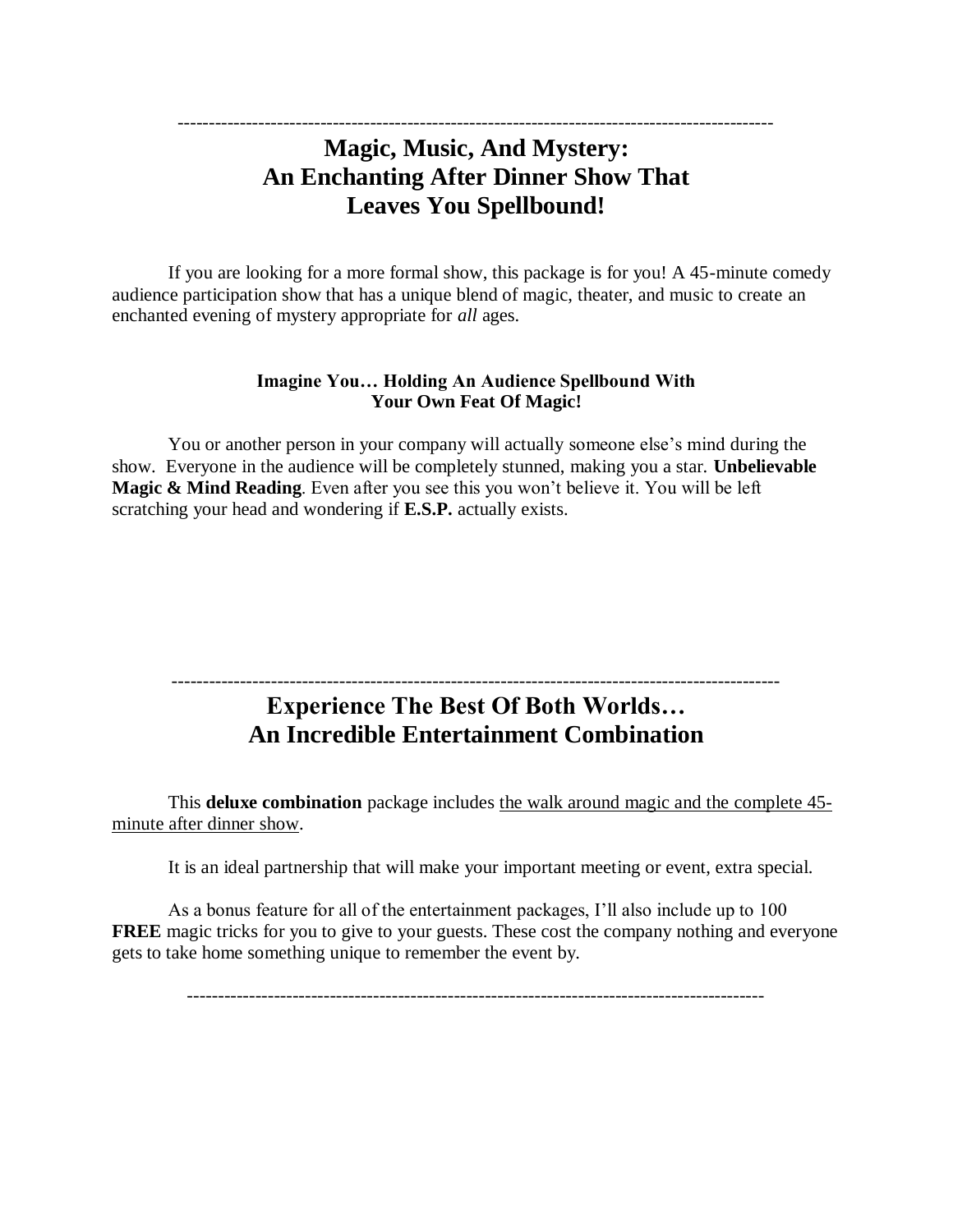### ------------------------------------------------------------------------------------------------ **Magic, Music, And Mystery: An Enchanting After Dinner Show That Leaves You Spellbound!**

If you are looking for a more formal show, this package is for you! A 45-minute comedy audience participation show that has a unique blend of magic, theater, and music to create an enchanted evening of mystery appropriate for *all* ages.

#### **Imagine You… Holding An Audience Spellbound With Your Own Feat Of Magic!**

You or another person in your company will actually someone else's mind during the show. Everyone in the audience will be completely stunned, making you a star. **Unbelievable Magic & Mind Reading**. Even after you see this you won't believe it. You will be left scratching your head and wondering if **E.S.P.** actually exists.

### -------------------------------------------------------------------------------------------------- **Experience The Best Of Both Worlds… An Incredible Entertainment Combination**

This **deluxe combination** package includes the walk around magic and the complete 45 minute after dinner show.

It is an ideal partnership that will make your important meeting or event, extra special.

As a bonus feature for all of the entertainment packages, I'll also include up to 100 **FREE** magic tricks for you to give to your guests. These cost the company nothing and everyone gets to take home something unique to remember the event by.

---------------------------------------------------------------------------------------------